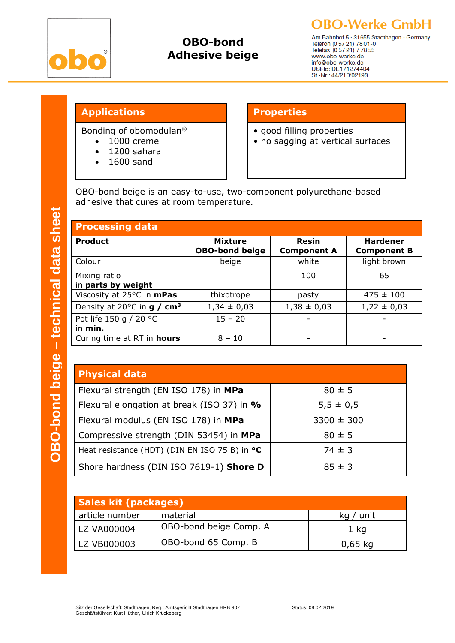

## **OBO-bond Adhesive beige**

**OBO-Werke GmbH** Am Bahnhof 5 · 31655 Stadthagen · Germany<br>Telefon (0 57 21) 78 01-0<br>Telefax (0 57 21) 7 78 55 www.obo-werke.de

## **Applications Properties**

Bonding of obomodulan®

- 1000 creme
- 1200 sahara
- 1600 sand

- good filling properties
- no sagging at vertical surfaces

info@obo-werke.de USt-Id: DE171274404 St -Nr: 44/210/02193

OBO-bond beige is an easy-to-use, two-component polyurethane-based adhesive that cures at room temperature.

| <b>Processing data</b>                            |                                         |                             |                                       |  |
|---------------------------------------------------|-----------------------------------------|-----------------------------|---------------------------------------|--|
| <b>Product</b>                                    | <b>Mixture</b><br><b>OBO-bond beige</b> | Resin<br><b>Component A</b> | <b>Hardener</b><br><b>Component B</b> |  |
| Colour                                            | beige                                   | white                       | light brown                           |  |
| Mixing ratio<br>in parts by weight                |                                         | 100                         | 65                                    |  |
| Viscosity at 25°C in mPas                         | thixotrope                              | pasty                       | $475 \pm 100$                         |  |
| Density at 20 $^{\circ}$ C in g / cm <sup>3</sup> | $1,34 \pm 0,03$                         | $1,38 \pm 0,03$             | $1,22 \pm 0,03$                       |  |
| Pot life 150 g / 20 °C<br>in min.                 | $15 - 20$                               |                             |                                       |  |
| Curing time at RT in hours                        | $8 - 10$                                |                             |                                       |  |

| <b>Physical data</b>                          |                |  |  |  |
|-----------------------------------------------|----------------|--|--|--|
| Flexural strength (EN ISO 178) in MPa         | $80 \pm 5$     |  |  |  |
| Flexural elongation at break (ISO 37) in %    | $5,5 \pm 0,5$  |  |  |  |
| Flexural modulus (EN ISO 178) in MPa          | $3300 \pm 300$ |  |  |  |
| Compressive strength (DIN 53454) in MPa       | $80 \pm 5$     |  |  |  |
| Heat resistance (HDT) (DIN EN ISO 75 B) in °C | $74 \pm 3$     |  |  |  |
| Shore hardness (DIN ISO 7619-1) Shore D       | $85 \pm 3$     |  |  |  |

| <b>Sales kit (packages)</b> |                        |           |  |
|-----------------------------|------------------------|-----------|--|
| article number              | material               | kg / unit |  |
| LZ VA000004                 | OBO-bond beige Comp. A | 1 kg      |  |
| LZ VB000003                 | OBO-bond 65 Comp. B    | $0,65$ kg |  |